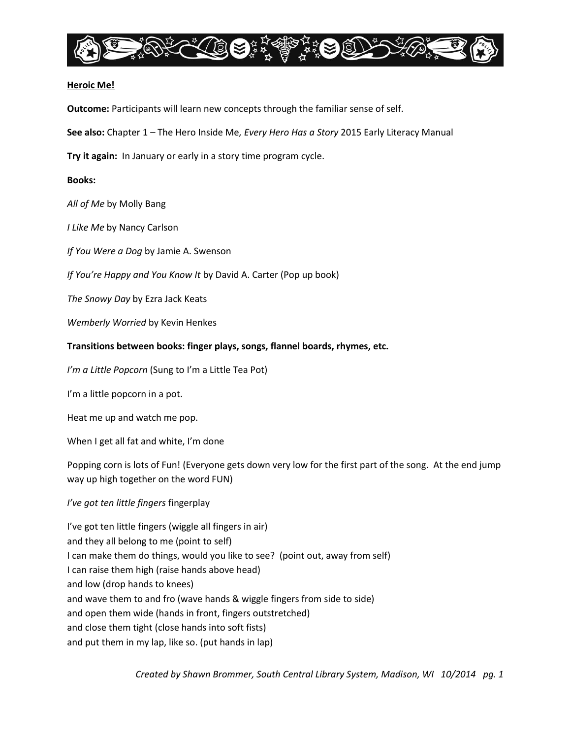

# **Heroic Me!**

**Outcome:** Participants will learn new concepts through the familiar sense of self.

**See also:** Chapter 1 *–* The Hero Inside Me*, Every Hero Has a Story* 2015 Early Literacy Manual

**Try it again:** In January or early in a story time program cycle.

## **Books:**

*All of Me* by Molly Bang

*I Like Me* by Nancy Carlson

*If You Were a Dog* by Jamie A. Swenson

*If You're Happy and You Know It* by David A. Carter (Pop up book)

*The Snowy Day* by Ezra Jack Keats

*Wemberly Worried* by Kevin Henkes

## **Transitions between books: finger plays, songs, flannel boards, rhymes, etc.**

*I'm a Little Popcorn* (Sung to I'm a Little Tea Pot)

I'm a little popcorn in a pot.

Heat me up and watch me pop.

When I get all fat and white, I'm done

Popping corn is lots of Fun! (Everyone gets down very low for the first part of the song. At the end jump way up high together on the word FUN)

# *I've got ten little fingers* fingerplay

I've got ten little fingers (wiggle all fingers in air) and they all belong to me (point to self) I can make them do things, would you like to see? (point out, away from self) I can raise them high (raise hands above head) and low (drop hands to knees) and wave them to and fro (wave hands & wiggle fingers from side to side) and open them wide (hands in front, fingers outstretched) and close them tight (close hands into soft fists) and put them in my lap, like so. (put hands in lap)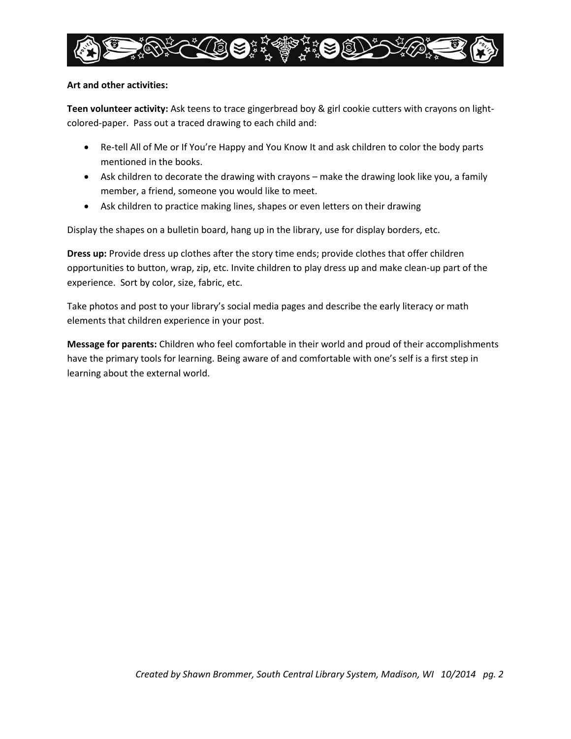

**Teen volunteer activity:** Ask teens to trace gingerbread boy & girl cookie cutters with crayons on lightcolored-paper. Pass out a traced drawing to each child and:

- Re-tell All of Me or If You're Happy and You Know It and ask children to color the body parts mentioned in the books.
- Ask children to decorate the drawing with crayons make the drawing look like you, a family member, a friend, someone you would like to meet.
- Ask children to practice making lines, shapes or even letters on their drawing

Display the shapes on a bulletin board, hang up in the library, use for display borders, etc.

**Dress up:** Provide dress up clothes after the story time ends; provide clothes that offer children opportunities to button, wrap, zip, etc. Invite children to play dress up and make clean-up part of the experience. Sort by color, size, fabric, etc.

Take photos and post to your library's social media pages and describe the early literacy or math elements that children experience in your post.

**Message for parents:** Children who feel comfortable in their world and proud of their accomplishments have the primary tools for learning. Being aware of and comfortable with one's self is a first step in learning about the external world.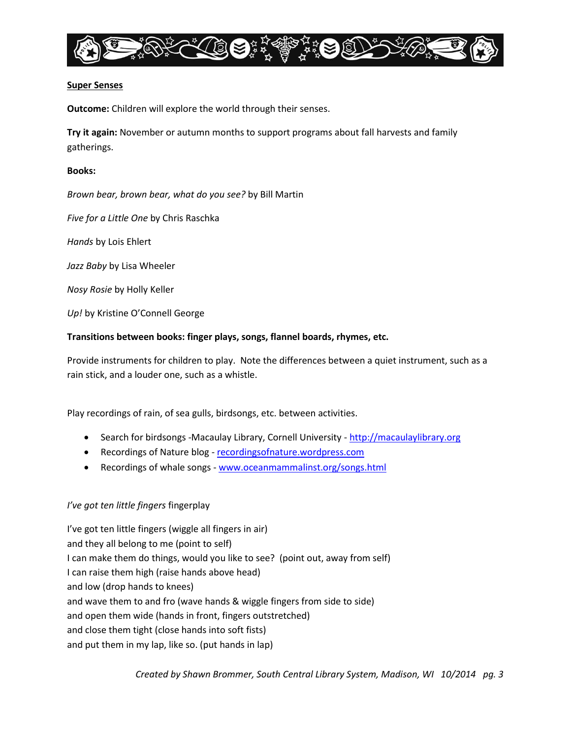

## **Super Senses**

**Outcome:** Children will explore the world through their senses.

**Try it again:** November or autumn months to support programs about fall harvests and family gatherings.

#### **Books:**

*Brown bear, brown bear, what do you see?* by Bill Martin

*Five for a Little One* by Chris Raschka

*Hands* by Lois Ehlert

*Jazz Baby* by Lisa Wheeler

*Nosy Rosie* by Holly Keller

*Up!* by Kristine O'Connell George

## **Transitions between books: finger plays, songs, flannel boards, rhymes, etc.**

Provide instruments for children to play. Note the differences between a quiet instrument, such as a rain stick, and a louder one, such as a whistle.

Play recordings of rain, of sea gulls, birdsongs, etc. between activities.

- Search for birdsongs -Macaulay Library, Cornell University [http://macaulaylibrary.org](http://macaulaylibrary.org/)
- Recordings of Nature blog recordingsofnature.wordpress.com
- Recordings of whale songs [www.oceanmammalinst.org/songs.html](http://www.oceanmammalinst.org/songs.html)

# *I've got ten little fingers* fingerplay

I've got ten little fingers (wiggle all fingers in air) and they all belong to me (point to self) I can make them do things, would you like to see? (point out, away from self) I can raise them high (raise hands above head) and low (drop hands to knees) and wave them to and fro (wave hands & wiggle fingers from side to side) and open them wide (hands in front, fingers outstretched) and close them tight (close hands into soft fists) and put them in my lap, like so. (put hands in lap)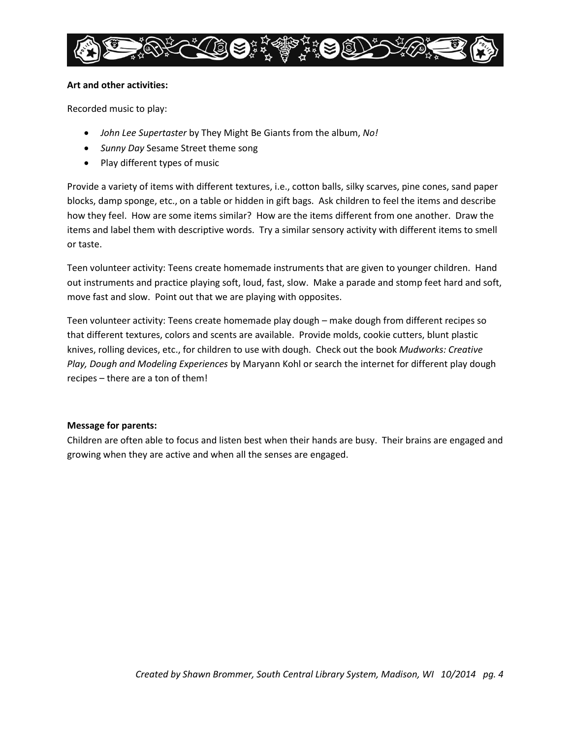

Recorded music to play:

- *John Lee Supertaster* by They Might Be Giants from the album, *No!*
- *Sunny Day* Sesame Street theme song
- Play different types of music

Provide a variety of items with different textures, i.e., cotton balls, silky scarves, pine cones, sand paper blocks, damp sponge, etc., on a table or hidden in gift bags. Ask children to feel the items and describe how they feel. How are some items similar? How are the items different from one another. Draw the items and label them with descriptive words. Try a similar sensory activity with different items to smell or taste.

Teen volunteer activity: Teens create homemade instruments that are given to younger children. Hand out instruments and practice playing soft, loud, fast, slow. Make a parade and stomp feet hard and soft, move fast and slow. Point out that we are playing with opposites.

Teen volunteer activity: Teens create homemade play dough – make dough from different recipes so that different textures, colors and scents are available. Provide molds, cookie cutters, blunt plastic knives, rolling devices, etc., for children to use with dough. Check out the book *Mudworks: Creative Play, Dough and Modeling Experiences* by Maryann Kohl or search the internet for different play dough recipes – there are a ton of them!

# **Message for parents:**

Children are often able to focus and listen best when their hands are busy. Their brains are engaged and growing when they are active and when all the senses are engaged.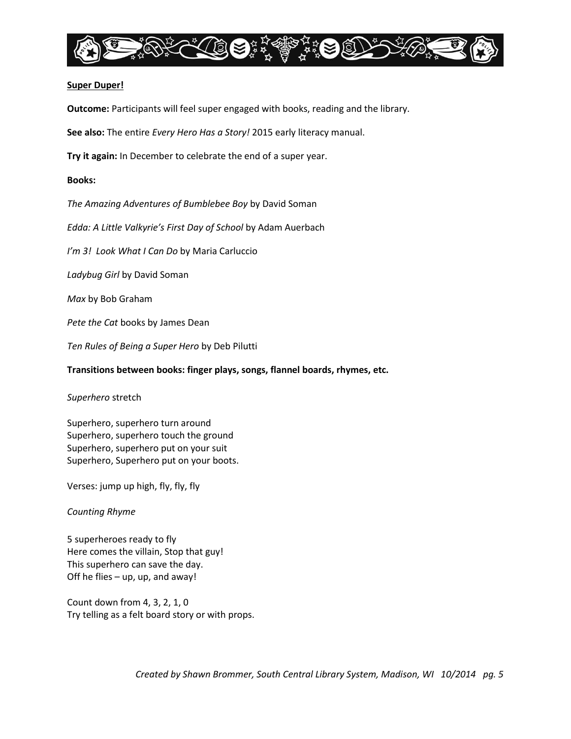

## **Super Duper!**

**Outcome:** Participants will feel super engaged with books, reading and the library.

**See also:** The entire *Every Hero Has a Story!* 2015 early literacy manual.

**Try it again:** In December to celebrate the end of a super year.

## **Books:**

*The Amazing Adventures of Bumblebee Boy* by David Soman

*Edda: A Little Valkyrie's First Day of School* by Adam Auerbach

*I'm 3! Look What I Can Do* by Maria Carluccio

*Ladybug Girl* by David Soman

*Max* by Bob Graham

*Pete the Cat* books by James Dean

*Ten Rules of Being a Super Hero* by Deb Pilutti

#### **Transitions between books: finger plays, songs, flannel boards, rhymes, etc.**

#### *Superhero* stretch

Superhero, superhero turn around Superhero, superhero touch the ground Superhero, superhero put on your suit Superhero, Superhero put on your boots.

Verses: jump up high, fly, fly, fly

*Counting Rhyme*

5 superheroes ready to fly Here comes the villain, Stop that guy! This superhero can save the day. Off he flies – up, up, and away!

Count down from 4, 3, 2, 1, 0 Try telling as a felt board story or with props.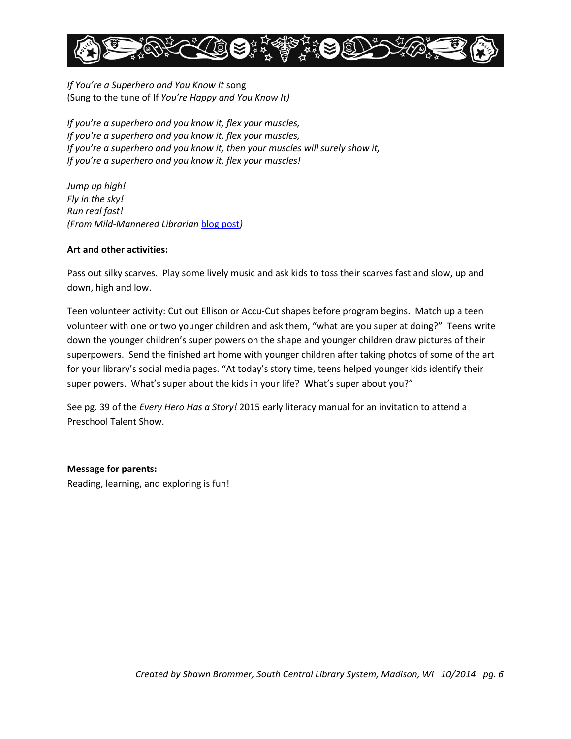

*If You're a Superhero and You Know It* song (Sung to the tune of If *You're Happy and You Know It)*

*If you're a superhero and you know it, flex your muscles, If you're a superhero and you know it, flex your muscles, If you're a superhero and you know it, then your muscles will surely show it, If you're a superhero and you know it, flex your muscles!*

*Jump up high! Fly in the sky! Run real fast! (From Mild-Mannered Librarian* [blog post](http://mild-manneredlibrarian.blogspot.com/2014/04/superhero-storytime.html)*)*

# **Art and other activities:**

Pass out silky scarves. Play some lively music and ask kids to toss their scarves fast and slow, up and down, high and low.

Teen volunteer activity: Cut out Ellison or Accu-Cut shapes before program begins. Match up a teen volunteer with one or two younger children and ask them, "what are you super at doing?" Teens write down the younger children's super powers on the shape and younger children draw pictures of their superpowers. Send the finished art home with younger children after taking photos of some of the art for your library's social media pages. "At today's story time, teens helped younger kids identify their super powers. What's super about the kids in your life? What's super about you?"

See pg. 39 of the *Every Hero Has a Story!* 2015 early literacy manual for an invitation to attend a Preschool Talent Show.

# **Message for parents:**

Reading, learning, and exploring is fun!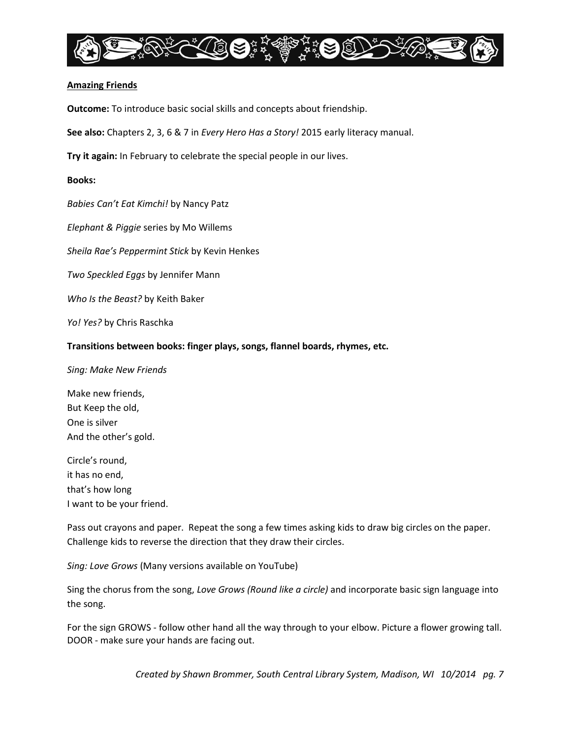

## **Amazing Friends**

**Outcome:** To introduce basic social skills and concepts about friendship.

**See also:** Chapters 2, 3, 6 & 7 in *Every Hero Has a Story!* 2015 early literacy manual.

**Try it again:** In February to celebrate the special people in our lives.

## **Books:**

*Babies Can't Eat Kimchi!* by Nancy Patz

*Elephant & Piggie* series by Mo Willems

*Sheila Rae's Peppermint Stick* by Kevin Henkes

*Two Speckled Eggs* by Jennifer Mann

*Who Is the Beast?* by Keith Baker

*Yo! Yes?* by Chris Raschka

## **Transitions between books: finger plays, songs, flannel boards, rhymes, etc.**

#### *Sing: Make New Friends*

Make new friends, But Keep the old, One is silver And the other's gold.

Circle's round, it has no end, that's how long I want to be your friend.

Pass out crayons and paper. Repeat the song a few times asking kids to draw big circles on the paper. Challenge kids to reverse the direction that they draw their circles.

*Sing: Love Grows* (Many versions available on YouTube)

Sing the chorus from the song, *Love Grows (Round like a circle)* and incorporate basic sign language into the song.

For the sign GROWS - follow other hand all the way through to your elbow. Picture a flower growing tall. DOOR - make sure your hands are facing out.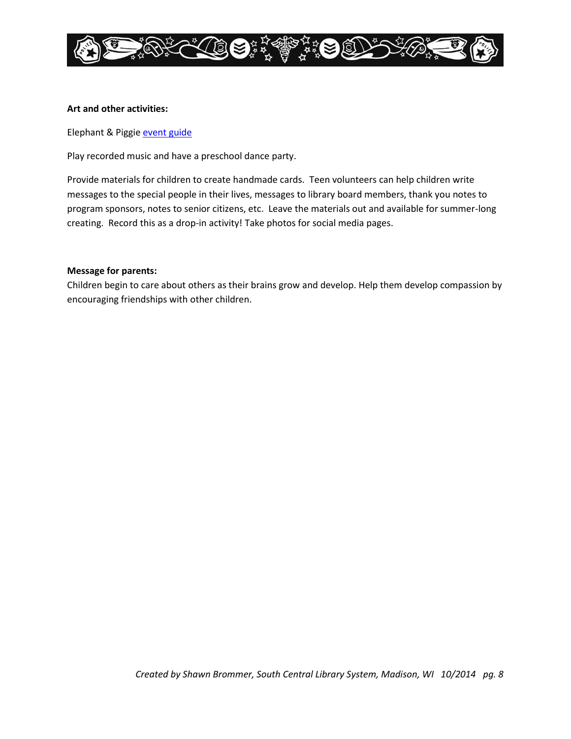

Elephant & Piggie [event guide](http://www.pigeonpresents.com/teachersguides/EandP_eventkit0714_hires.pdf)

Play recorded music and have a preschool dance party.

Provide materials for children to create handmade cards. Teen volunteers can help children write messages to the special people in their lives, messages to library board members, thank you notes to program sponsors, notes to senior citizens, etc. Leave the materials out and available for summer-long creating. Record this as a drop-in activity! Take photos for social media pages.

## **Message for parents:**

Children begin to care about others as their brains grow and develop. Help them develop compassion by encouraging friendships with other children.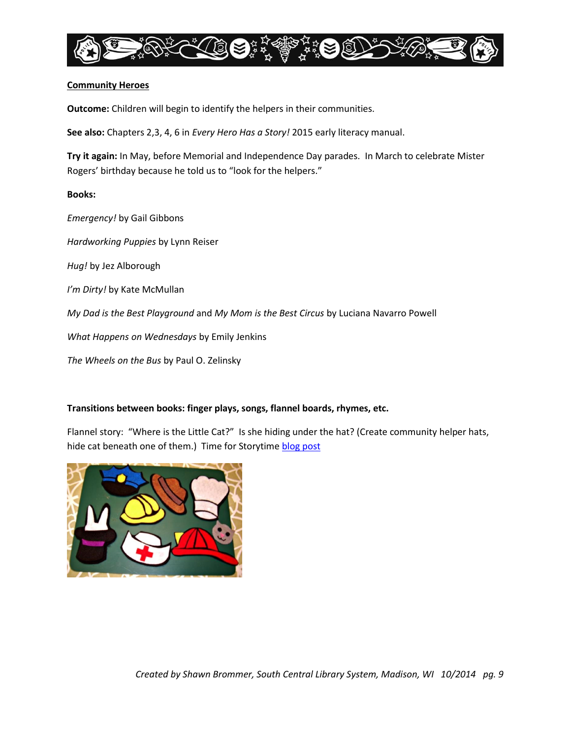

## **Community Heroes**

**Outcome:** Children will begin to identify the helpers in their communities.

**See also:** Chapters 2,3, 4, 6 in *Every Hero Has a Story!* 2015 early literacy manual.

**Try it again:** In May, before Memorial and Independence Day parades. In March to celebrate Mister Rogers' birthday because he told us to "look for the helpers."

## **Books:**

*Emergency!* by Gail Gibbons *Hardworking Puppies* by Lynn Reiser *Hug!* by Jez Alborough *I'm Dirty!* by Kate McMullan *My Dad is the Best Playground* and *My Mom is the Best Circus* by Luciana Navarro Powell *What Happens on Wednesdays* by Emily Jenkins *The Wheels on the Bus* by Paul O. Zelinsky

# **Transitions between books: finger plays, songs, flannel boards, rhymes, etc.**

Flannel story: "Where is the Little Cat?" Is she hiding under the hat? (Create community helper hats, hide cat beneath one of them.) Time for Storytime [blog post](http://timeforstorytime.wordpress.com/2013/01/24/these-are-the-people-in-your-neighbourhood-beyond-family-storytime/)

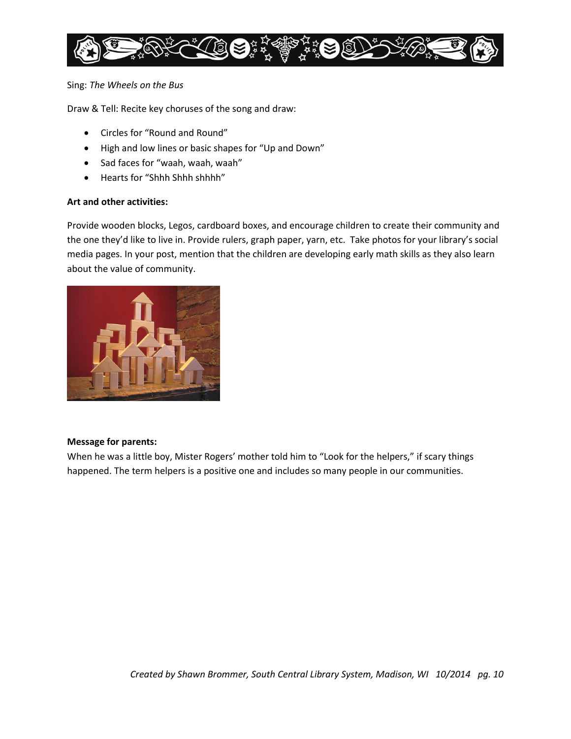

# Sing: *The Wheels on the Bus*

Draw & Tell: Recite key choruses of the song and draw:

- Circles for "Round and Round"
- High and low lines or basic shapes for "Up and Down"
- Sad faces for "waah, waah, waah"
- Hearts for "Shhh Shhh shhhh"

# **Art and other activities:**

Provide wooden blocks, Legos, cardboard boxes, and encourage children to create their community and the one they'd like to live in. Provide rulers, graph paper, yarn, etc. Take photos for your library's social media pages. In your post, mention that the children are developing early math skills as they also learn about the value of community.



# **Message for parents:**

When he was a little boy, Mister Rogers' mother told him to "Look for the helpers," if scary things happened. The term helpers is a positive one and includes so many people in our communities.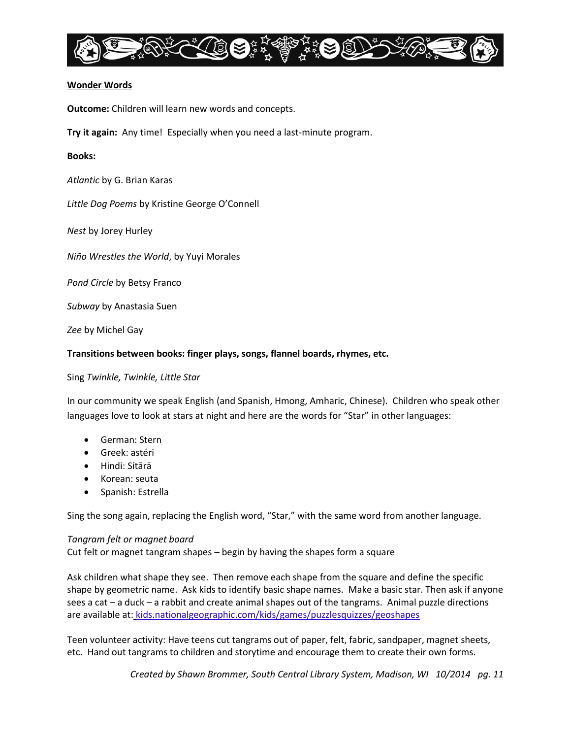

# **Wonder Words**

**Outcome:** Children will learn new words and concepts.

**Try it again:** Any time! Especially when you need a last-minute program.

#### **Books:**

*Atlantic* by G. Brian Karas

*Little Dog Poems* by Kristine George O'Connell

*Nest* by Jorey Hurley

*Niño Wrestles the World*, by Yuyi Morales

*Pond Circle* by Betsy Franco

*Subway* by Anastasia Suen

*Zee* by Michel Gay

## **Transitions between books: finger plays, songs, flannel boards, rhymes, etc.**

#### Sing *Twinkle, Twinkle, Little Star*

In our community we speak English (and Spanish, Hmong, Amharic, Chinese). Children who speak other languages love to look at stars at night and here are the words for "Star" in other languages:

- German: Stern
- Greek: astéri
- Hindi: Sitārā
- Korean: seuta
- Spanish: Estrella

Sing the song again, replacing the English word, "Star," with the same word from another language.

#### *Tangram felt or magnet board*

Cut felt or magnet tangram shapes – begin by having the shapes form a square

Ask children what shape they see. Then remove each shape from the square and define the specific shape by geometric name. Ask kids to identify basic shape names. Make a basic star. Then ask if anyone sees a cat – a duck – a rabbit and create animal shapes out of the tangrams. Animal puzzle directions are available at: [kids.nationalgeographic.com/kids/games/puzzlesquizzes/geoshapes](http://kids.nationalgeographic.com/kids/games/puzzlesquizzes/geoshapes/)

Teen volunteer activity: Have teens cut tangrams out of paper, felt, fabric, sandpaper, magnet sheets, etc. Hand out tangrams to children and storytime and encourage them to create their own forms.